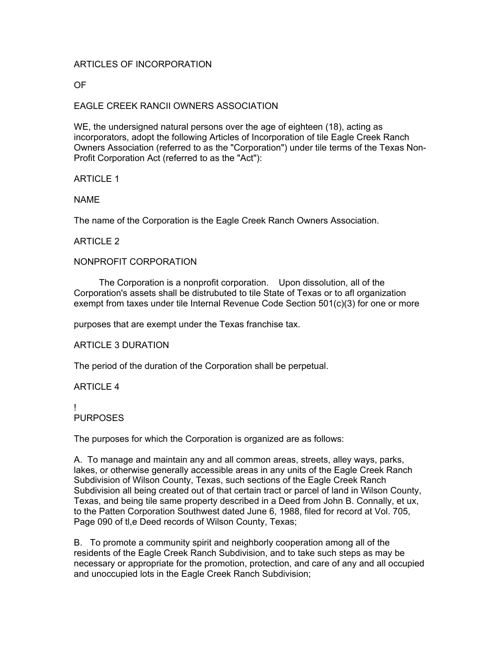# ARTICLES OF INCORPORATION

OF

# EAGLE CREEK RANCII OWNERS ASSOCIATION

WE, the undersigned natural persons over the age of eighteen (18), acting as incorporators, adopt the following Articles of Incorporation of tile Eagle Creek Ranch Owners Association (referred to as the "Corporation") under tile terms of the Texas Non-Profit Corporation Act (referred to as the "Act"):

### ARTICLE 1

NAME

The name of the Corporation is the Eagle Creek Ranch Owners Association.

### ARTICLE 2

### NONPROFIT CORPORATION

 The Corporation is a nonprofit corporation. Upon dissolution, all of the Corporation's assets shall be distrubuted to tile State of Texas or to afl organization exempt from taxes under tile Internal Revenue Code Section 501(c)(3) for one or more

purposes that are exempt under the Texas franchise tax.

#### ARTICLE 3 DURATION

The period of the duration of the Corporation shall be perpetual.

#### ARTICLE 4

#### ! PURPOSES

The purposes for which the Corporation is organized are as follows:

A. To manage and maintain any and all common areas, streets, alley ways, parks, lakes, or otherwise generally accessible areas in any units of the Eagle Creek Ranch Subdivision of Wilson County, Texas, such sections of the Eagle Creek Ranch Subdivision all being created out of that certain tract or parcel of land in Wilson County, Texas, and being tile same property described in a Deed from John B. Connally, et ux, to the Patten Corporation Southwest dated June 6, 1988, filed for record at Vol. 705, Page 090 of tl,e Deed records of Wilson County, Texas;

B. To promote a community spirit and neighborly cooperation among all of the residents of the Eagle Creek Ranch Subdivision, and to take such steps as may be necessary or appropriate for the promotion, protection, and care of any and all occupied and unoccupied lots in the Eagle Creek Ranch Subdivision;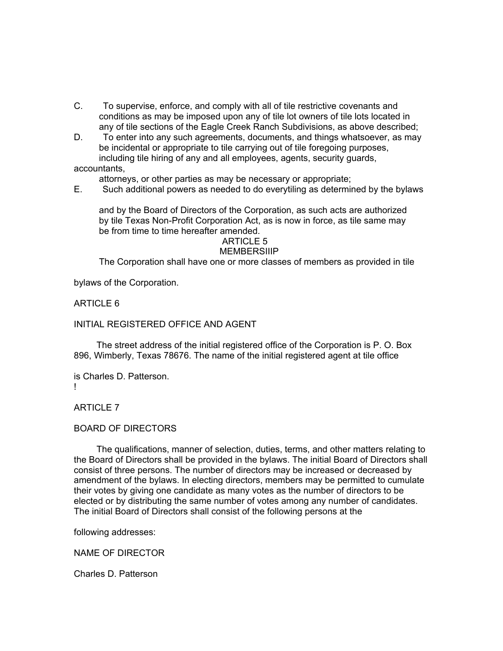- C. To supervise, enforce, and comply with all of tile restrictive covenants and conditions as may be imposed upon any of tile lot owners of tile lots located in any of tile sections of the Eagle Creek Ranch Subdivisions, as above described;
- D. To enter into any such agreements, documents, and things whatsoever, as may be incidental or appropriate to tile carrying out of tile foregoing purposes, including tile hiring of any and all employees, agents, security guards,

accountants,

attorneys, or other parties as may be necessary or appropriate;

E. Such additional powers as needed to do everytiling as determined by the bylaws

 and by the Board of Directors of the Corporation, as such acts are authorized by tile Texas Non-Profit Corporation Act, as is now in force, as tile same may be from time to time hereafter amended.

ARTICLE 5

### **MEMBERSIIIP**

The Corporation shall have one or more classes of members as provided in tile

bylaws of the Corporation.

# ARTICLE 6

### INITIAL REGISTERED OFFICE AND AGENT

 The street address of the initial registered office of the Corporation is P. O. Box 896, Wimberly, Texas 78676. The name of the initial registered agent at tile office

is Charles D. Patterson. !

# ARTICLE 7

# BOARD OF DIRECTORS

 The qualifications, manner of selection, duties, terms, and other matters relating to the Board of Directors shall be provided in the bylaws. The initial Board of Directors shall consist of three persons. The number of directors may be increased or decreased by amendment of the bylaws. In electing directors, members may be permitted to cumulate their votes by giving one candidate as many votes as the number of directors to be elected or by distributing the same number of votes among any number of candidates. The initial Board of Directors shall consist of the following persons at the

following addresses:

NAME OF DIRECTOR

Charles D. Patterson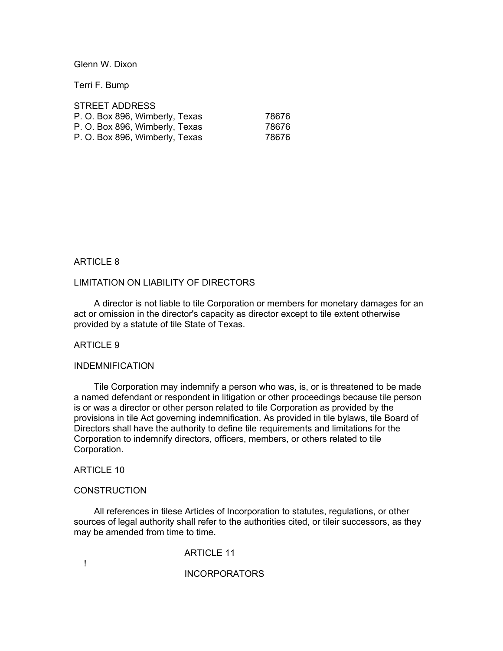Glenn W. Dixon

Terri F. Bump

| <b>STREET ADDRESS</b>          |       |
|--------------------------------|-------|
| P. O. Box 896, Wimberly, Texas | 78676 |
| P. O. Box 896, Wimberly, Texas | 78676 |
| P. O. Box 896, Wimberly, Texas | 78676 |

#### ARTICLE 8

#### LIMITATION ON LIABILITY OF DIRECTORS

 A director is not liable to tile Corporation or members for monetary damages for an act or omission in the director's capacity as director except to tile extent otherwise provided by a statute of tile State of Texas.

# ARTICLE 9

#### INDEMNIFICATION

 Tile Corporation may indemnify a person who was, is, or is threatened to be made a named defendant or respondent in litigation or other proceedings because tile person is or was a director or other person related to tile Corporation as provided by the provisions in tile Act governing indemnification. As provided in tile bylaws, tile Board of Directors shall have the authority to define tile requirements and limitations for the Corporation to indemnify directors, officers, members, or others related to tile Corporation.

ARTICLE 10

#### **CONSTRUCTION**

 All references in tilese Articles of Incorporation to statutes, regulations, or other sources of legal authority shall refer to the authorities cited, or tileir successors, as they may be amended from time to time.

ARTICLE 11

!

INCORPORATORS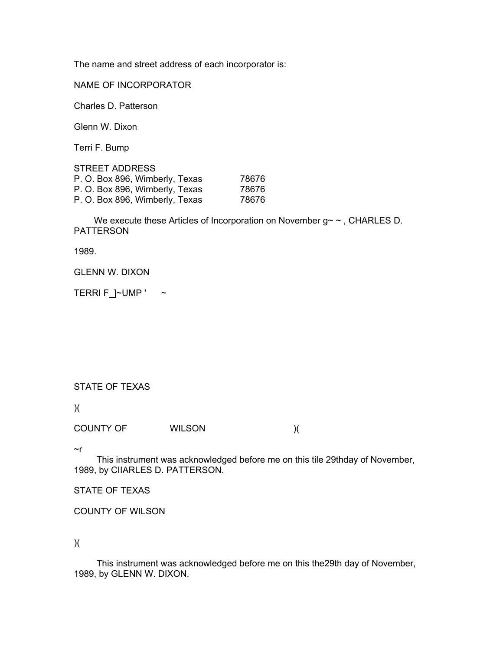The name and street address of each incorporator is:

NAME OF INCORPORATOR

Charles D. Patterson

Glenn W. Dixon

Terri F. Bump

| <b>STREET ADDRESS</b>          |       |
|--------------------------------|-------|
| P. O. Box 896, Wimberly, Texas | 78676 |
| P. O. Box 896, Wimberly, Texas | 78676 |
| P. O. Box 896, Wimberly, Texas | 78676 |

We execute these Articles of Incorporation on November g~ ~, CHARLES D. PATTERSON

1989.

GLENN W. DIXON

TERRI F $\lrcorner$  ~ UMP ' ~

# STATE OF TEXAS

)(

COUNTY OF WILSON )(

~r

 This instrument was acknowledged before me on this tile 29thday of November, 1989, by CIIARLES D. PATTERSON.

STATE OF TEXAS

COUNTY OF WILSON

)(

 This instrument was acknowledged before me on this the29th day of November, 1989, by GLENN W. DIXON.